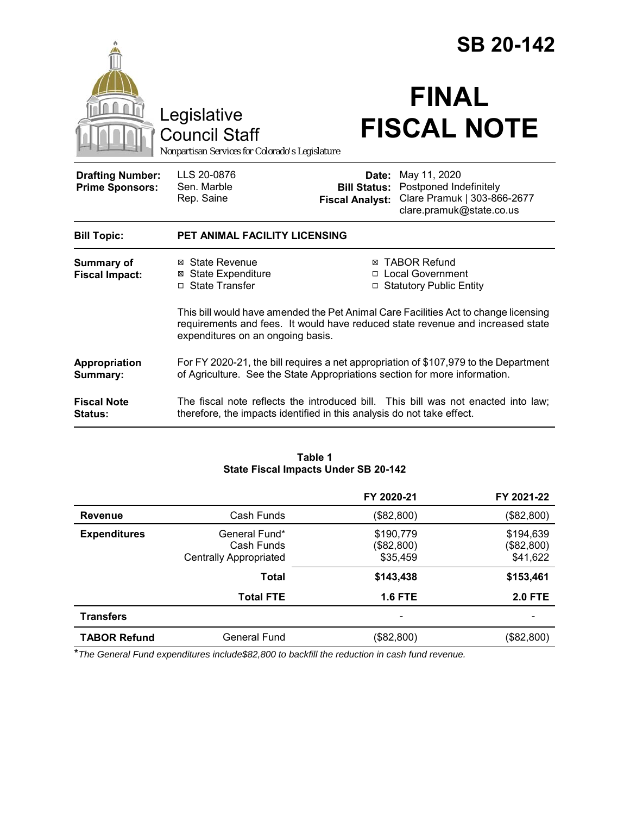|                                                   |                                                                                                                                                                                                            | <b>SB 20-142</b>                                                                        |                                                                                                   |  |
|---------------------------------------------------|------------------------------------------------------------------------------------------------------------------------------------------------------------------------------------------------------------|-----------------------------------------------------------------------------------------|---------------------------------------------------------------------------------------------------|--|
|                                                   | Legislative<br><b>Council Staff</b><br>Nonpartisan Services for Colorado's Legislature                                                                                                                     |                                                                                         | <b>FINAL</b><br><b>FISCAL NOTE</b>                                                                |  |
| <b>Drafting Number:</b><br><b>Prime Sponsors:</b> | LLS 20-0876<br>Sen. Marble<br>Rep. Saine                                                                                                                                                                   | Date:<br><b>Bill Status:</b><br><b>Fiscal Analyst:</b>                                  | May 11, 2020<br>Postponed Indefinitely<br>Clare Pramuk   303-866-2677<br>clare.pramuk@state.co.us |  |
| <b>Bill Topic:</b>                                | PET ANIMAL FACILITY LICENSING                                                                                                                                                                              |                                                                                         |                                                                                                   |  |
| <b>Summary of</b><br><b>Fiscal Impact:</b>        | ⊠ State Revenue<br><b>⊠</b> State Expenditure<br>□ State Transfer                                                                                                                                          | <b>⊠ TABOR Refund</b><br><b>Local Government</b><br>□<br><b>Statutory Public Entity</b> |                                                                                                   |  |
|                                                   | This bill would have amended the Pet Animal Care Facilities Act to change licensing<br>requirements and fees. It would have reduced state revenue and increased state<br>expenditures on an ongoing basis. |                                                                                         |                                                                                                   |  |
| Appropriation<br><b>Summary:</b>                  | For FY 2020-21, the bill requires a net appropriation of \$107,979 to the Department<br>of Agriculture. See the State Appropriations section for more information.                                         |                                                                                         |                                                                                                   |  |
| <b>Fiscal Note</b><br>Status:                     | therefore, the impacts identified in this analysis do not take effect.                                                                                                                                     |                                                                                         | The fiscal note reflects the introduced bill. This bill was not enacted into law;                 |  |

#### **Table 1 State Fiscal Impacts Under SB 20-142**

|                     |                                                              | FY 2020-21                          | FY 2021-22                          |
|---------------------|--------------------------------------------------------------|-------------------------------------|-------------------------------------|
| Revenue             | Cash Funds                                                   | (\$82,800)                          | (\$82,800)                          |
| <b>Expenditures</b> | General Fund*<br>Cash Funds<br><b>Centrally Appropriated</b> | \$190,779<br>(\$82,800)<br>\$35,459 | \$194,639<br>(\$82,800)<br>\$41,622 |
|                     | <b>Total</b>                                                 | \$143,438                           | \$153,461                           |
|                     | <b>Total FTE</b>                                             | <b>1.6 FTE</b>                      | <b>2.0 FTE</b>                      |
| <b>Transfers</b>    |                                                              |                                     |                                     |
| <b>TABOR Refund</b> | General Fund                                                 | (\$82,800)                          | (\$82,800)                          |

\**The General Fund expenditures include\$82,800 to backfill the reduction in cash fund revenue.*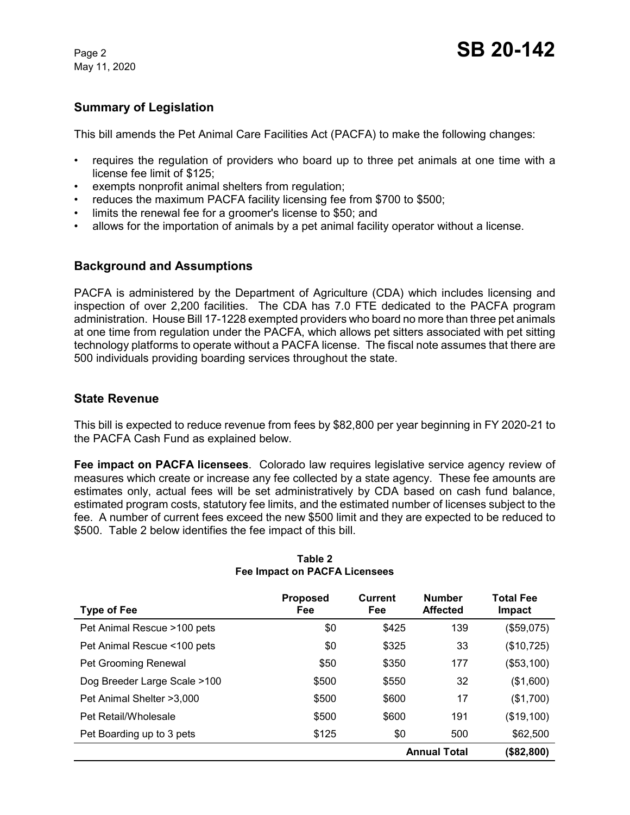May 11, 2020

## **Summary of Legislation**

This bill amends the Pet Animal Care Facilities Act (PACFA) to make the following changes:

- requires the regulation of providers who board up to three pet animals at one time with a license fee limit of \$125;
- exempts nonprofit animal shelters from regulation;
- reduces the maximum PACFA facility licensing fee from \$700 to \$500;
- limits the renewal fee for a groomer's license to \$50; and
- allows for the importation of animals by a pet animal facility operator without a license.

#### **Background and Assumptions**

PACFA is administered by the Department of Agriculture (CDA) which includes licensing and inspection of over 2,200 facilities. The CDA has 7.0 FTE dedicated to the PACFA program administration. House Bill 17-1228 exempted providers who board no more than three pet animals at one time from regulation under the PACFA, which allows pet sitters associated with pet sitting technology platforms to operate without a PACFA license. The fiscal note assumes that there are 500 individuals providing boarding services throughout the state.

#### **State Revenue**

This bill is expected to reduce revenue from fees by \$82,800 per year beginning in FY 2020-21 to the PACFA Cash Fund as explained below.

**Fee impact on PACFA licensees**. Colorado law requires legislative service agency review of measures which create or increase any fee collected by a state agency. These fee amounts are estimates only, actual fees will be set administratively by CDA based on cash fund balance, estimated program costs, statutory fee limits, and the estimated number of licenses subject to the fee. A number of current fees exceed the new \$500 limit and they are expected to be reduced to \$500. Table 2 below identifies the fee impact of this bill.

| Type of Fee                  | <b>Proposed</b><br><b>Fee</b> | <b>Current</b><br>Fee | <b>Number</b><br><b>Affected</b> | <b>Total Fee</b><br>Impact |
|------------------------------|-------------------------------|-----------------------|----------------------------------|----------------------------|
| Pet Animal Rescue >100 pets  | \$0                           | \$425                 | 139                              | (\$59,075)                 |
| Pet Animal Rescue <100 pets  | \$0                           | \$325                 | 33                               | (\$10,725)                 |
| Pet Grooming Renewal         | \$50                          | \$350                 | 177                              | (\$53,100)                 |
| Dog Breeder Large Scale >100 | \$500                         | \$550                 | 32                               | (\$1,600)                  |
| Pet Animal Shelter >3,000    | \$500                         | \$600                 | 17                               | (\$1,700)                  |
| Pet Retail/Wholesale         | \$500                         | \$600                 | 191                              | (\$19,100)                 |
| Pet Boarding up to 3 pets    | \$125                         | \$0                   | 500                              | \$62,500                   |
|                              |                               |                       | <b>Annual Total</b>              | (\$82,800)                 |

#### **Table 2 Fee Impact on PACFA Licensees**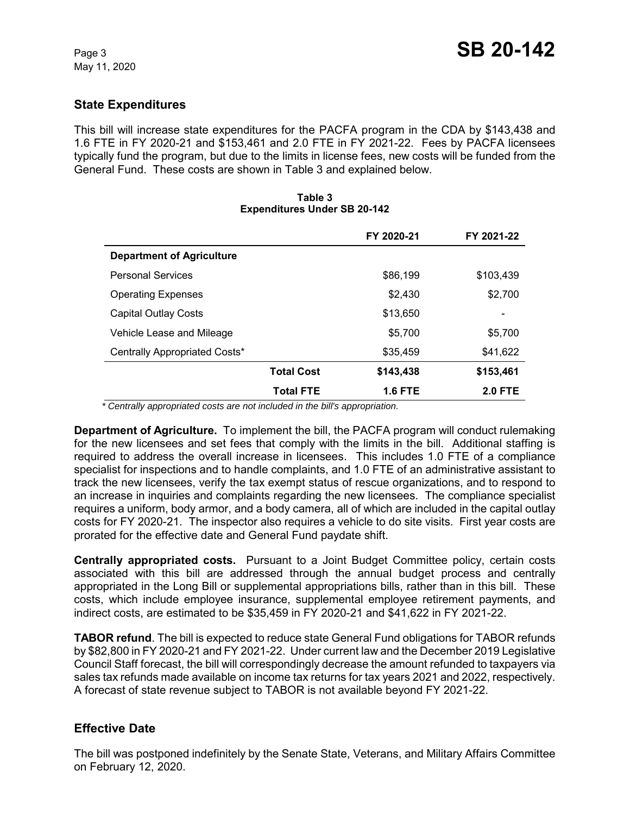## **State Expenditures**

This bill will increase state expenditures for the PACFA program in the CDA by \$143,438 and 1.6 FTE in FY 2020-21 and \$153,461 and 2.0 FTE in FY 2021-22. Fees by PACFA licensees typically fund the program, but due to the limits in license fees, new costs will be funded from the General Fund. These costs are shown in Table 3 and explained below.

|                                  |                   | FY 2020-21 | FY 2021-22     |
|----------------------------------|-------------------|------------|----------------|
| <b>Department of Agriculture</b> |                   |            |                |
| <b>Personal Services</b>         |                   | \$86,199   | \$103,439      |
| <b>Operating Expenses</b>        |                   | \$2,430    | \$2,700        |
| <b>Capital Outlay Costs</b>      |                   | \$13,650   |                |
| Vehicle Lease and Mileage        |                   | \$5,700    | \$5,700        |
| Centrally Appropriated Costs*    |                   | \$35,459   | \$41,622       |
|                                  | <b>Total Cost</b> | \$143,438  | \$153,461      |
|                                  | <b>Total FTE</b>  | 1.6 FTE    | <b>2.0 FTE</b> |

#### **Table 3 Expenditures Under SB 20-142**

 *\* Centrally appropriated costs are not included in the bill's appropriation.*

**Department of Agriculture.** To implement the bill, the PACFA program will conduct rulemaking for the new licensees and set fees that comply with the limits in the bill. Additional staffing is required to address the overall increase in licensees. This includes 1.0 FTE of a compliance specialist for inspections and to handle complaints, and 1.0 FTE of an administrative assistant to track the new licensees, verify the tax exempt status of rescue organizations, and to respond to an increase in inquiries and complaints regarding the new licensees. The compliance specialist requires a uniform, body armor, and a body camera, all of which are included in the capital outlay costs for FY 2020-21. The inspector also requires a vehicle to do site visits. First year costs are prorated for the effective date and General Fund paydate shift.

**Centrally appropriated costs.** Pursuant to a Joint Budget Committee policy, certain costs associated with this bill are addressed through the annual budget process and centrally appropriated in the Long Bill or supplemental appropriations bills, rather than in this bill. These costs, which include employee insurance, supplemental employee retirement payments, and indirect costs, are estimated to be \$35,459 in FY 2020-21 and \$41,622 in FY 2021-22.

**TABOR refund**. The bill is expected to reduce state General Fund obligations for TABOR refunds by \$82,800 in FY 2020-21 and FY 2021-22. Under current law and the December 2019 Legislative Council Staff forecast, the bill will correspondingly decrease the amount refunded to taxpayers via sales tax refunds made available on income tax returns for tax years 2021 and 2022, respectively. A forecast of state revenue subject to TABOR is not available beyond FY 2021-22.

## **Effective Date**

The bill was postponed indefinitely by the Senate State, Veterans, and Military Affairs Committee on February 12, 2020.